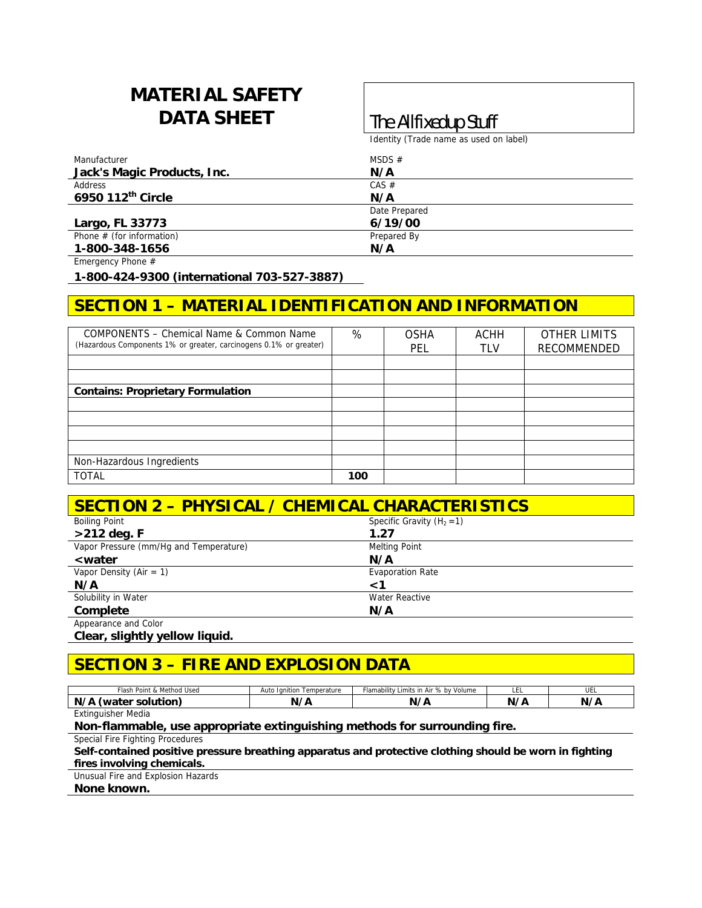# **MATERIAL SAFETY DATA SHEET The Allfixedup Stuff**

Identity (Trade name as used on label)

| Manufacturer                | MSDS $#$      |
|-----------------------------|---------------|
| Jack's Magic Products, Inc. | N/A           |
| Address                     | CAS #         |
| 6950 112th Circle           | N/A           |
|                             | Date Prepared |
| Largo, FL 33773             | 6/19/00       |
| Phone $#$ (for information) | Prepared By   |
| 1-800-348-1656              | N/A           |

Emergency Phone #

**1-800-424-9300 (international 703-527-3887)** 

## **SECTION 1 – MATERIAL IDENTIFICATION AND INFORMATION**

| COMPONENTS – Chemical Name & Common Name<br>(Hazardous Components 1% or greater, carcinogens 0.1% or greater) | %   | <b>OSHA</b><br>PEL | <b>ACHH</b><br>TLV | <b>OTHER LIMITS</b><br>RECOMMENDED |
|---------------------------------------------------------------------------------------------------------------|-----|--------------------|--------------------|------------------------------------|
|                                                                                                               |     |                    |                    |                                    |
|                                                                                                               |     |                    |                    |                                    |
| <b>Contains: Proprietary Formulation</b>                                                                      |     |                    |                    |                                    |
|                                                                                                               |     |                    |                    |                                    |
|                                                                                                               |     |                    |                    |                                    |
|                                                                                                               |     |                    |                    |                                    |
|                                                                                                               |     |                    |                    |                                    |
| Non-Hazardous Ingredients                                                                                     |     |                    |                    |                                    |
| <b>TOTAL</b>                                                                                                  | 100 |                    |                    |                                    |

| <b>SECTION 2 - PHYSICAL / CHEMICAL CHARACTERISTICS</b> |                              |  |
|--------------------------------------------------------|------------------------------|--|
| <b>Boiling Point</b>                                   | Specific Gravity $(H_2 = 1)$ |  |
| $>212$ deg. F                                          | 1.27                         |  |
| Vapor Pressure (mm/Hq and Temperature)                 | <b>Melting Point</b>         |  |
| <i><b><water< b=""></water<></b></i>                   | N/A                          |  |
| Vapor Density (Air = $1$ )                             | <b>Evaporation Rate</b>      |  |
| N/A                                                    | <1                           |  |
| Solubility in Water                                    | <b>Water Reactive</b>        |  |
| Complete                                               | N/A                          |  |
| Appearance and Color                                   |                              |  |

**Clear, slightly yellow liquid.** 

## **SECTION 3 – FIRE AND EXPLOSION DATA**

| · Point & Method Used<br>∙iash                            | Auto<br>lanition<br>Temperature | Limits in Air % by Volume<br>Flamability ! | ᄔ  | UEL |
|-----------------------------------------------------------|---------------------------------|--------------------------------------------|----|-----|
| N/A<br>water<br>solution                                  | <i>,</i><br>N<br>-<br>. .       | . .<br>N,                                  | N. | N/4 |
| $\cdots$<br>المتلقان والمنافر والمتلوث والمنافرة والمقروح |                                 |                                            |    |     |

Extinguisher Media

#### **Non-flammable, use appropriate extinguishing methods for surrounding fire.**

Special Fire Fighting Procedures

**Self-contained positive pressure breathing apparatus and protective clothing should be worn in fighting fires involving chemicals.** 

Unusual Fire and Explosion Hazards

**None known.**